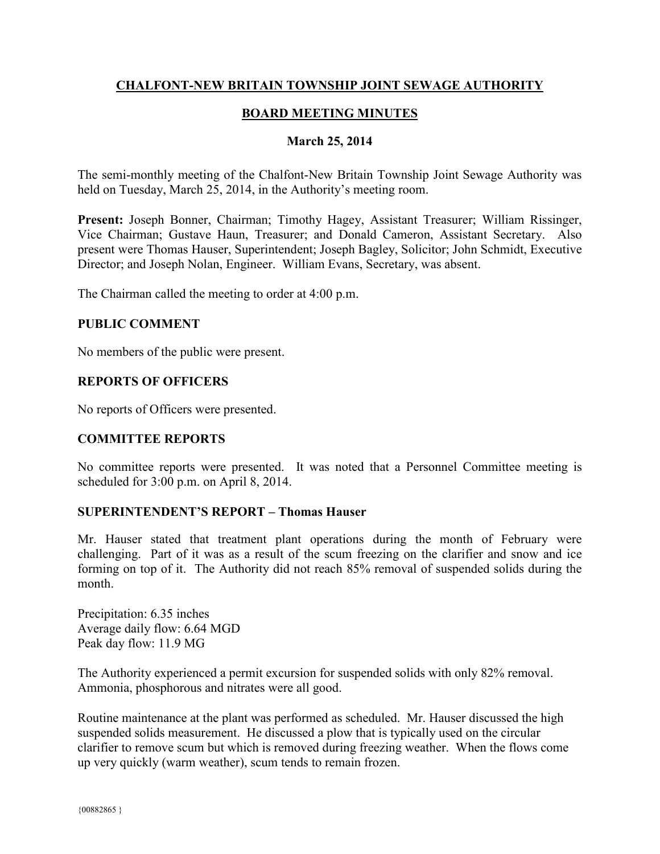### **CHALFONT-NEW BRITAIN TOWNSHIP JOINT SEWAGE AUTHORITY**

### **BOARD MEETING MINUTES**

#### **March 25, 2014**

The semi-monthly meeting of the Chalfont-New Britain Township Joint Sewage Authority was held on Tuesday, March 25, 2014, in the Authority's meeting room.

**Present:** Joseph Bonner, Chairman; Timothy Hagey, Assistant Treasurer; William Rissinger, Vice Chairman; Gustave Haun, Treasurer; and Donald Cameron, Assistant Secretary. Also present were Thomas Hauser, Superintendent; Joseph Bagley, Solicitor; John Schmidt, Executive Director; and Joseph Nolan, Engineer. William Evans, Secretary, was absent.

The Chairman called the meeting to order at 4:00 p.m.

#### **PUBLIC COMMENT**

No members of the public were present.

### **REPORTS OF OFFICERS**

No reports of Officers were presented.

### **COMMITTEE REPORTS**

No committee reports were presented. It was noted that a Personnel Committee meeting is scheduled for 3:00 p.m. on April 8, 2014.

### **SUPERINTENDENT'S REPORT – Thomas Hauser**

Mr. Hauser stated that treatment plant operations during the month of February were challenging. Part of it was as a result of the scum freezing on the clarifier and snow and ice forming on top of it. The Authority did not reach 85% removal of suspended solids during the month.

Precipitation: 6.35 inches Average daily flow: 6.64 MGD Peak day flow: 11.9 MG

The Authority experienced a permit excursion for suspended solids with only 82% removal. Ammonia, phosphorous and nitrates were all good.

Routine maintenance at the plant was performed as scheduled. Mr. Hauser discussed the high suspended solids measurement. He discussed a plow that is typically used on the circular clarifier to remove scum but which is removed during freezing weather. When the flows come up very quickly (warm weather), scum tends to remain frozen.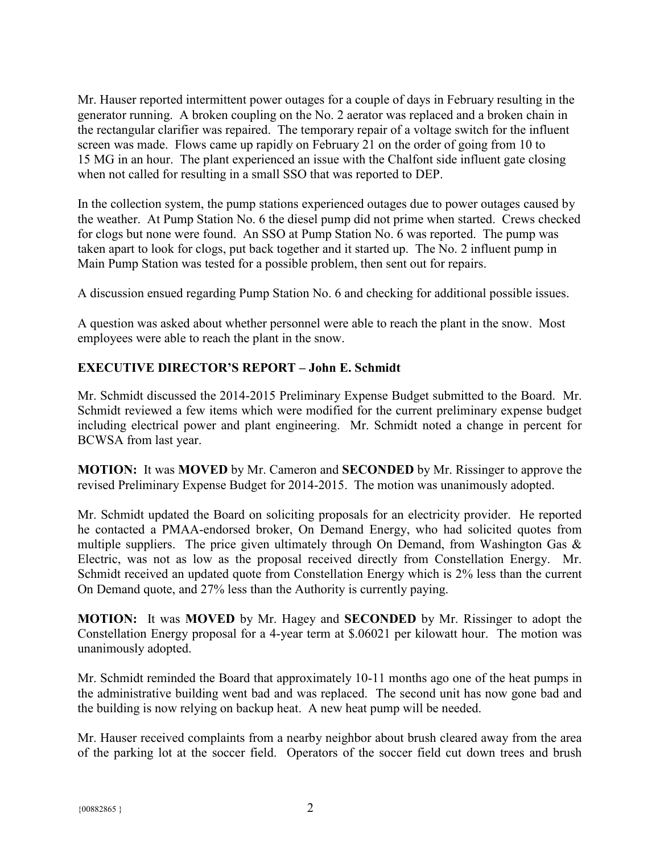Mr. Hauser reported intermittent power outages for a couple of days in February resulting in the generator running. A broken coupling on the No. 2 aerator was replaced and a broken chain in the rectangular clarifier was repaired. The temporary repair of a voltage switch for the influent screen was made. Flows came up rapidly on February 21 on the order of going from 10 to 15 MG in an hour. The plant experienced an issue with the Chalfont side influent gate closing when not called for resulting in a small SSO that was reported to DEP.

In the collection system, the pump stations experienced outages due to power outages caused by the weather. At Pump Station No. 6 the diesel pump did not prime when started. Crews checked for clogs but none were found. An SSO at Pump Station No. 6 was reported. The pump was taken apart to look for clogs, put back together and it started up. The No. 2 influent pump in Main Pump Station was tested for a possible problem, then sent out for repairs.

A discussion ensued regarding Pump Station No. 6 and checking for additional possible issues.

A question was asked about whether personnel were able to reach the plant in the snow. Most employees were able to reach the plant in the snow.

# **EXECUTIVE DIRECTOR'S REPORT – John E. Schmidt**

Mr. Schmidt discussed the 2014-2015 Preliminary Expense Budget submitted to the Board. Mr. Schmidt reviewed a few items which were modified for the current preliminary expense budget including electrical power and plant engineering. Mr. Schmidt noted a change in percent for BCWSA from last year.

**MOTION:** It was **MOVED** by Mr. Cameron and **SECONDED** by Mr. Rissinger to approve the revised Preliminary Expense Budget for 2014-2015. The motion was unanimously adopted.

Mr. Schmidt updated the Board on soliciting proposals for an electricity provider. He reported he contacted a PMAA-endorsed broker, On Demand Energy, who had solicited quotes from multiple suppliers. The price given ultimately through On Demand, from Washington Gas  $\&$ Electric, was not as low as the proposal received directly from Constellation Energy. Mr. Schmidt received an updated quote from Constellation Energy which is 2% less than the current On Demand quote, and 27% less than the Authority is currently paying.

**MOTION:** It was **MOVED** by Mr. Hagey and **SECONDED** by Mr. Rissinger to adopt the Constellation Energy proposal for a 4-year term at \$.06021 per kilowatt hour. The motion was unanimously adopted.

Mr. Schmidt reminded the Board that approximately 10-11 months ago one of the heat pumps in the administrative building went bad and was replaced. The second unit has now gone bad and the building is now relying on backup heat. A new heat pump will be needed.

Mr. Hauser received complaints from a nearby neighbor about brush cleared away from the area of the parking lot at the soccer field. Operators of the soccer field cut down trees and brush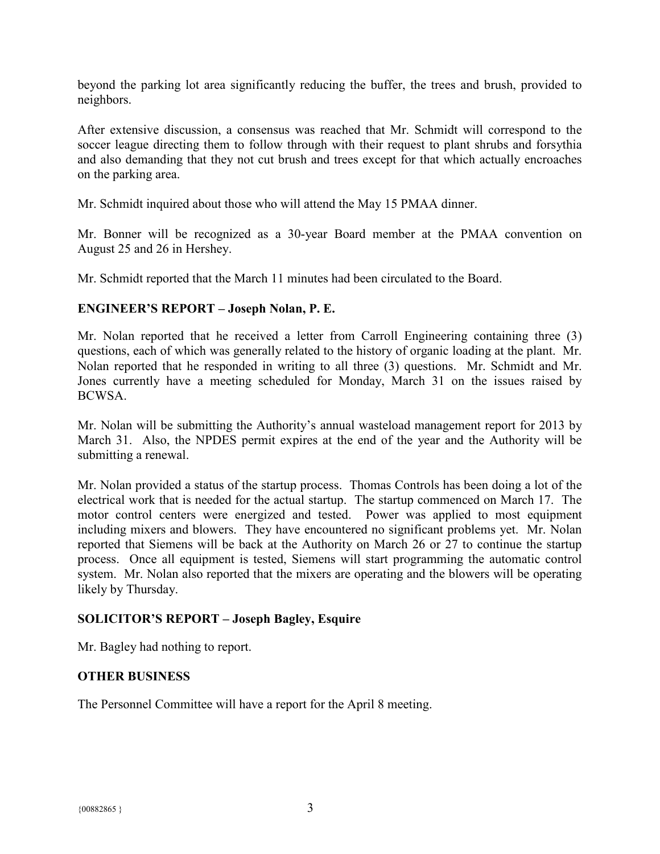beyond the parking lot area significantly reducing the buffer, the trees and brush, provided to neighbors.

After extensive discussion, a consensus was reached that Mr. Schmidt will correspond to the soccer league directing them to follow through with their request to plant shrubs and forsythia and also demanding that they not cut brush and trees except for that which actually encroaches on the parking area.

Mr. Schmidt inquired about those who will attend the May 15 PMAA dinner.

Mr. Bonner will be recognized as a 30-year Board member at the PMAA convention on August 25 and 26 in Hershey.

Mr. Schmidt reported that the March 11 minutes had been circulated to the Board.

### **ENGINEER'S REPORT – Joseph Nolan, P. E.**

Mr. Nolan reported that he received a letter from Carroll Engineering containing three (3) questions, each of which was generally related to the history of organic loading at the plant. Mr. Nolan reported that he responded in writing to all three (3) questions. Mr. Schmidt and Mr. Jones currently have a meeting scheduled for Monday, March 31 on the issues raised by BCWSA.

Mr. Nolan will be submitting the Authority's annual wasteload management report for 2013 by March 31. Also, the NPDES permit expires at the end of the year and the Authority will be submitting a renewal.

Mr. Nolan provided a status of the startup process. Thomas Controls has been doing a lot of the electrical work that is needed for the actual startup. The startup commenced on March 17. The motor control centers were energized and tested. Power was applied to most equipment including mixers and blowers. They have encountered no significant problems yet. Mr. Nolan reported that Siemens will be back at the Authority on March 26 or 27 to continue the startup process. Once all equipment is tested, Siemens will start programming the automatic control system. Mr. Nolan also reported that the mixers are operating and the blowers will be operating likely by Thursday.

# **SOLICITOR'S REPORT – Joseph Bagley, Esquire**

Mr. Bagley had nothing to report.

# **OTHER BUSINESS**

The Personnel Committee will have a report for the April 8 meeting.